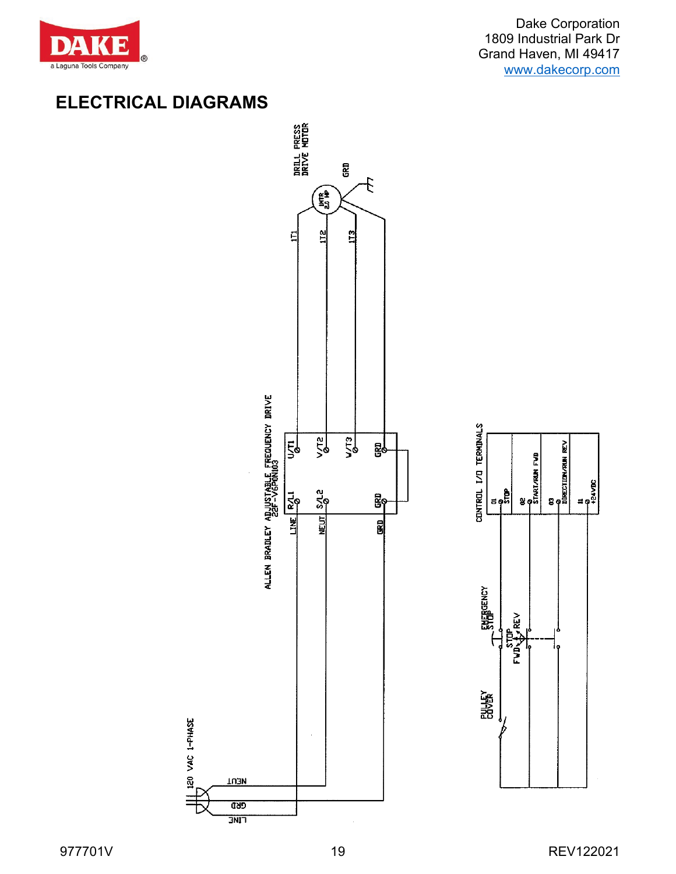

Dake Corporation 1809 Industrial Park Dr Grand Haven, MI 49417 [www.dakecorp.com](http://www.dakecorp.com/)

# **ELECTRICAL DIAGRAMS**



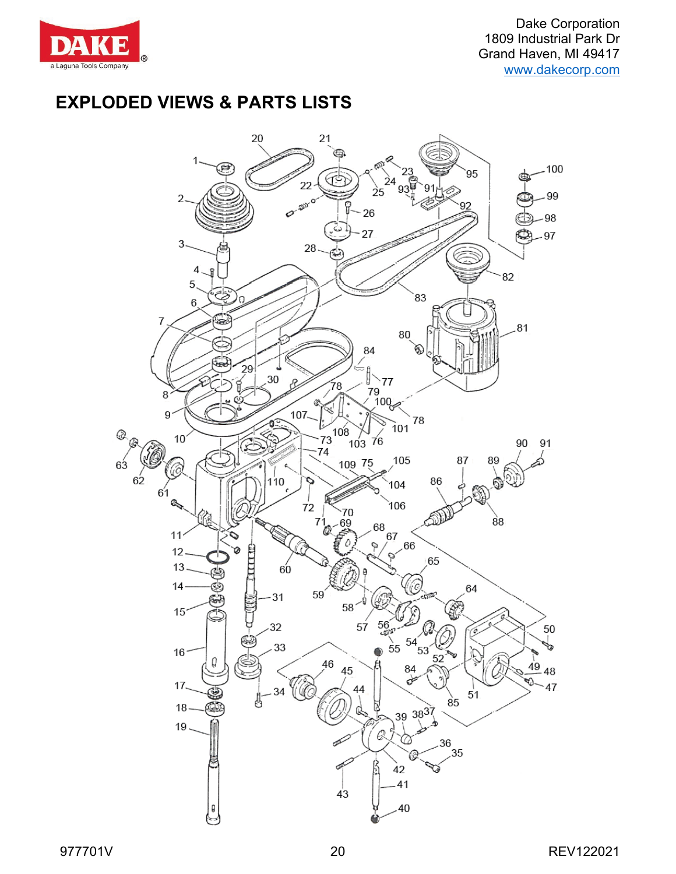

## **EXPLODED VIEWS & PARTS LISTS**

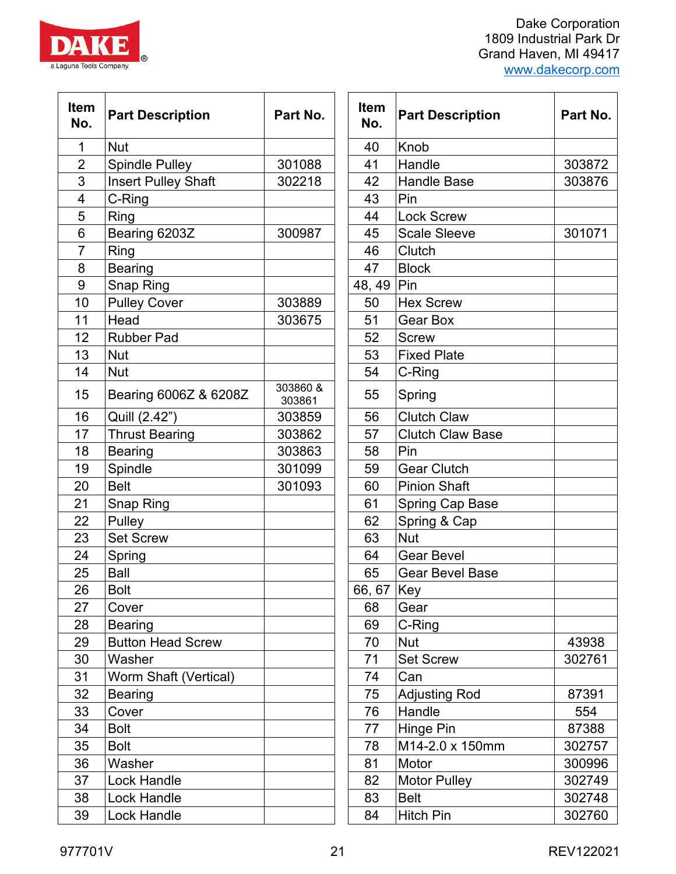| <b>Dake Corporation</b><br>1809 Industrial Park Dr |
|----------------------------------------------------|
| Grand Haven, MI 49417                              |
| www.dakecorp.com                                   |
|                                                    |

| 977701V | ົາ | REV122021 |
|---------|----|-----------|
|         |    |           |

| <b>Item</b><br>No. | <b>Part Description</b>    | Part No.           | <b>Item</b><br>No. | <b>Part Description</b> | <b>Part No</b> |
|--------------------|----------------------------|--------------------|--------------------|-------------------------|----------------|
| $\mathbf{1}$       | <b>Nut</b>                 |                    | 40                 | Knob                    |                |
| $\overline{2}$     | <b>Spindle Pulley</b>      | 301088             | 41                 | Handle                  | 303872         |
| 3                  | <b>Insert Pulley Shaft</b> | 302218             | 42                 | <b>Handle Base</b>      | 303876         |
| 4                  | C-Ring                     |                    | 43                 | Pin                     |                |
| 5                  | <b>Ring</b>                |                    | 44                 | <b>Lock Screw</b>       |                |
| 6                  | Bearing 6203Z              | 300987             | 45                 | <b>Scale Sleeve</b>     | 301071         |
| 7                  | Ring                       |                    | 46                 | Clutch                  |                |
| 8                  | <b>Bearing</b>             |                    | 47                 | <b>Block</b>            |                |
| 9                  | <b>Snap Ring</b>           |                    | 48, 49             | <b>Pin</b>              |                |
| 10                 | <b>Pulley Cover</b>        | 303889             | 50                 | <b>Hex Screw</b>        |                |
| 11                 | Head                       | 303675             | 51                 | <b>Gear Box</b>         |                |
| 12                 | <b>Rubber Pad</b>          |                    | 52                 | <b>Screw</b>            |                |
| 13                 | <b>Nut</b>                 |                    | 53                 | <b>Fixed Plate</b>      |                |
| 14                 | <b>Nut</b>                 |                    | 54                 | C-Ring                  |                |
| 15                 | Bearing 6006Z & 6208Z      | 303860 &<br>303861 | 55                 | Spring                  |                |
| 16                 | Quill (2.42")              | 303859             | 56                 | <b>Clutch Claw</b>      |                |
| 17                 | <b>Thrust Bearing</b>      | 303862             | 57                 | <b>Clutch Claw Base</b> |                |
| 18                 | <b>Bearing</b>             | 303863             | 58                 | Pin                     |                |
| 19                 | Spindle                    | 301099             | 59                 | <b>Gear Clutch</b>      |                |
| 20                 | <b>Belt</b>                | 301093             | 60                 | <b>Pinion Shaft</b>     |                |
| 21                 | Snap Ring                  |                    | 61                 | <b>Spring Cap Base</b>  |                |
| 22                 | Pulley                     |                    | 62                 | Spring & Cap            |                |
| 23                 | <b>Set Screw</b>           |                    | 63                 | <b>Nut</b>              |                |
| 24                 | Spring                     |                    | 64                 | <b>Gear Bevel</b>       |                |
| 25                 | Ball                       |                    | 65                 | <b>Gear Bevel Base</b>  |                |
| 26                 | <b>Bolt</b>                |                    | 66, 67 Key         |                         |                |
| 27                 | Cover                      |                    | 68                 | Gear                    |                |
| 28                 | <b>Bearing</b>             |                    | 69                 | C-Ring                  |                |
| 29                 | <b>Button Head Screw</b>   |                    | 70                 | <b>Nut</b>              | 43938          |
| 30                 | Washer                     |                    | 71                 | <b>Set Screw</b>        | 302761         |
| 31                 | Worm Shaft (Vertical)      |                    | 74                 | Can                     |                |
| 32                 | <b>Bearing</b>             |                    | 75                 | <b>Adjusting Rod</b>    | 87391          |
| 33                 | Cover                      |                    | 76                 | Handle                  | 554            |
| 34                 | <b>Bolt</b>                |                    | 77                 | Hinge Pin               | 87388          |
| 35                 | <b>Bolt</b>                |                    | 78                 | M14-2.0 x 150mm         | 302757         |
| 36                 | Washer                     |                    | 81                 | Motor                   | 300996         |
| 37                 | Lock Handle                |                    | 82                 | <b>Motor Pulley</b>     | 302749         |
| 38                 | <b>Lock Handle</b>         |                    | 83                 | <b>Belt</b>             | 302748         |
| 39                 | Lock Handle                |                    | 84                 | <b>Hitch Pin</b>        | 302760         |

| 'art No.          | Item<br>No. | <b>Part Description</b> | Part No. |
|-------------------|-------------|-------------------------|----------|
|                   | 40          | Knob                    |          |
| 301088            | 41          | Handle                  | 303872   |
| 802218            | 42          | <b>Handle Base</b>      | 303876   |
|                   | 43          | Pin                     |          |
|                   | 44          | <b>Lock Screw</b>       |          |
| 300987            | 45          | <b>Scale Sleeve</b>     | 301071   |
|                   | 46          | Clutch                  |          |
|                   | 47          | <b>Block</b>            |          |
|                   | 48, 49      | Pin                     |          |
| 303889            | 50          | <b>Hex Screw</b>        |          |
| 303675            | 51          | Gear Box                |          |
|                   | 52          | <b>Screw</b>            |          |
|                   | 53          | <b>Fixed Plate</b>      |          |
|                   | 54          | C-Ring                  |          |
| 03860 &<br>303861 | 55          | Spring                  |          |
| 303859            | 56          | <b>Clutch Claw</b>      |          |
| 303862            | 57          | <b>Clutch Claw Base</b> |          |
| 303863            | 58          | Pin                     |          |
| 301099            | 59          | <b>Gear Clutch</b>      |          |
| 301093            | 60          | <b>Pinion Shaft</b>     |          |
|                   | 61          | Spring Cap Base         |          |
|                   | 62          | Spring & Cap            |          |
|                   | 63          | <b>Nut</b>              |          |
|                   | 64          | <b>Gear Bevel</b>       |          |
|                   | 65          | <b>Gear Bevel Base</b>  |          |
|                   | 66, 67      | Key                     |          |
|                   | 68          | Gear                    |          |
|                   | 69          | C-Ring                  |          |
|                   | 70          | <b>Nut</b>              | 43938    |
|                   | 71          | <b>Set Screw</b>        | 302761   |
|                   | 74          | Can                     |          |
|                   | 75          | <b>Adjusting Rod</b>    | 87391    |
|                   | 76          | Handle                  | 554      |
|                   | 77          | Hinge Pin               | 87388    |
|                   | 78          | M14-2.0 x 150mm         | 302757   |
|                   | 81          | Motor                   | 300996   |
|                   | 82          | <b>Motor Pulley</b>     | 302749   |
|                   | 83          | <b>Belt</b>             | 302748   |
|                   | 84          | <b>Hitch Pin</b>        | 302760   |

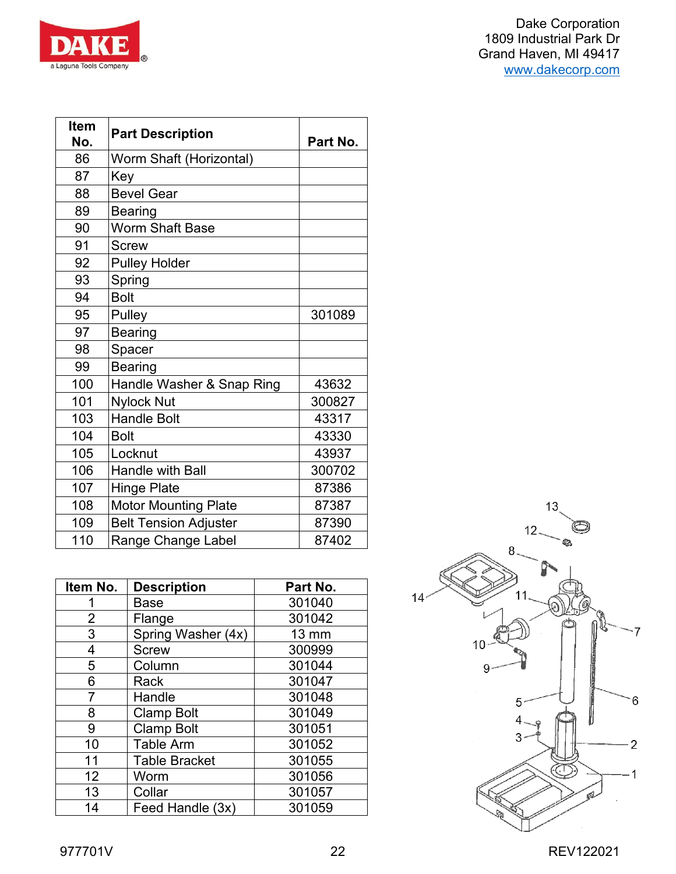

| Item<br>No. | <b>Part Description</b>      | Part No. |
|-------------|------------------------------|----------|
| 86          | Worm Shaft (Horizontal)      |          |
| 87          | Key                          |          |
| 88          | <b>Bevel Gear</b>            |          |
| 89          | <b>Bearing</b>               |          |
| 90          | <b>Worm Shaft Base</b>       |          |
| 91          | <b>Screw</b>                 |          |
| 92          | <b>Pulley Holder</b>         |          |
| 93          | Spring                       |          |
| 94          | <b>Bolt</b>                  |          |
| 95          | Pulley                       | 301089   |
| 97          | <b>Bearing</b>               |          |
| 98          | Spacer                       |          |
| 99          | <b>Bearing</b>               |          |
| 100         | Handle Washer & Snap Ring    | 43632    |
| 101         | <b>Nylock Nut</b>            | 300827   |
| 103         | <b>Handle Bolt</b>           | 43317    |
| 104         | <b>Bolt</b>                  | 43330    |
| 105         | Locknut                      | 43937    |
| 106         | <b>Handle with Ball</b>      | 300702   |
| 107         | <b>Hinge Plate</b>           | 87386    |
| 108         | <b>Motor Mounting Plate</b>  | 87387    |
| 109         | <b>Belt Tension Adjuster</b> | 87390    |
| 110         | Range Change Label           | 87402    |

| Item No.       | <b>Description</b>   | Part No.        |
|----------------|----------------------|-----------------|
|                | Base                 | 301040          |
| $\overline{2}$ | Flange               | 301042          |
| 3              | Spring Washer (4x)   | $13 \text{ mm}$ |
| 4              | <b>Screw</b>         | 300999          |
| 5              | Column               | 301044          |
| 6              | Rack                 | 301047          |
| 7              | Handle               | 301048          |
| 8              | <b>Clamp Bolt</b>    | 301049          |
| 9              | <b>Clamp Bolt</b>    | 301051          |
| 10             | <b>Table Arm</b>     | 301052          |
| 11             | <b>Table Bracket</b> | 301055          |
| 12             | Worm                 | 301056          |
| 13             | Collar               | 301057          |
| 14             | Feed Handle (3x)     | 301059          |